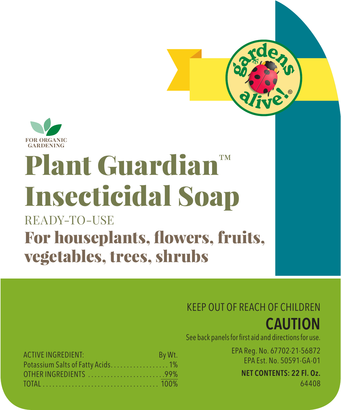

# Plant Guardian™ Insecticidal Soap

# READY-TO-USE For houseplants, flowers, fruits, vegetables, trees, shrubs

### KEEP OUT OF REACH OF CHILDREN



| See back panels for first aid and directions for use. |
|-------------------------------------------------------|
|-------------------------------------------------------|

EPA Reg. No. 67702-21-56872 EPA Est. No. 50591-GA-01

### NET CONTENTS: 22 Fl. Oz.

64408

| <b>ACTIVE INGREDIENT:</b> | By Wt. |
|---------------------------|--------|
|                           |        |
| OTHER INGREDIENTS 99%     |        |
|                           |        |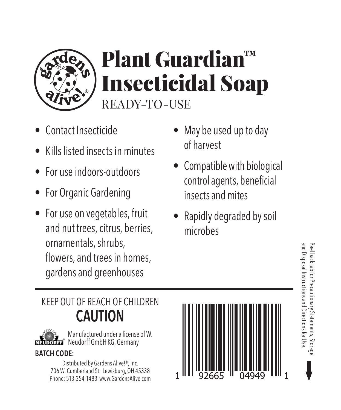

# Plant Guardian™ Insecticidal Soap READY-TO-USE

- Contact Insecticide
- Kills listed insects in minutes
- For use indoors-outdoors
- For Organic Gardening
- For use on vegetables, fruit and nut trees, citrus, berries, ornamentals, shrubs, flowers, and trees in homes, gardens and greenhouses
- May be used up to day of harvest
- Compatible with biological control agents, beneficial insects and mites
- Rapidly degraded by soil microbes

## KEEP OUT OF REACH OF CHILDREN CAUTION



Manufactured under a license of W. Neudorff GmbH KG, Germany

### BATCH CODE:

Distributed by Gardens Alive!®, Inc. 706 W. Cumberland St. Lewisburg, OH 45338 Phone: 513-354-1483 www.GardensAlive.com



and Disposal Instructions and Directions for Use. Peel back tab for Precautionary Statements, Storage

and Disposal Instructions and Directions for Use Peel back tab for Precautionary Statements, Storagy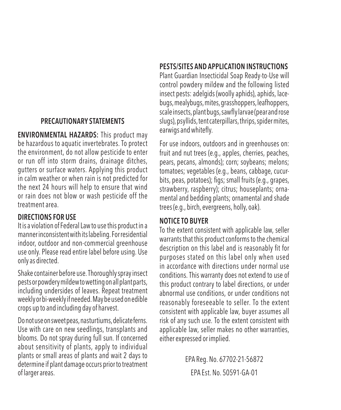#### PRECAUTIONARY STATEMENTS

ENVIRONMENTAL HAZARDS: This product may be hazardous to aquatic invertebrates. To protect the environment, do not allow pesticide to enter or run off into storm drains, drainage ditches, gutters or surface waters. Applying this product in calm weather or when rain is not predicted for the next 24 hours will help to ensure that wind or rain does not blow or wash pesticide off the treatment area.

#### DIRECTIONS FOR USE

It is a violation of Federal Law to use this product in a manner inconsistent with its labeling. For residential indoor, outdoor and non-commercial greenhouse use only. Please read entire label before using. Use only as directed.

Shake container before use. Thoroughly spray insect pests or powdery mildew to wetting on all plant parts, including undersides of leaves. Repeat treatment weekly or bi-weekly if needed. May be used on edible crops up to and including day of harvest.

Do not use on sweet peas, nasturtiums, delicate ferns. Use with care on new seedlings, transplants and blooms. Do not spray during full sun. If concerned about sensitivity of plants, apply to individual plants or small areas of plants and wait 2 days to determine if plant damage occurs prior to treatment of larger areas.

#### PESTS/SITES AND APPLICATION INSTRUCTIONS

Plant Guardian Insecticidal Soap Ready-to-Use will control powdery mildew and the following listed insect pests: adelgids (woolly aphids), aphids, lacebugs, mealybugs, mites, grasshoppers, leafhoppers, scale insects, plant bugs, sawfly larvae (pear and rose slugs), psyllids, tent caterpillars, thrips, spider mites, earwigs and whitefly.

For use indoors, outdoors and in greenhouses on: fruit and nut trees (e.g., apples, cherries, peaches, pears, pecans, almonds); corn; soybeans; melons; tomatoes; vegetables (e.g., beans, cabbage, cucurbits, peas, potatoes); figs; small fruits (e.g., grapes, strawberry, raspberry); citrus; houseplants; ornamental and bedding plants; ornamental and shade trees (e.g., birch, evergreens, holly, oak).

#### NOTICE TO BUYER

To the extent consistent with applicable law, seller warrants that this product conforms to the chemical description on this label and is reasonably fit for purposes stated on this label only when used in accordance with directions under normal use conditions. This warranty does not extend to use of this product contrary to label directions, or under abnormal use conditions, or under conditions not reasonably foreseeable to seller. To the extent consistent with applicable law, buyer assumes all risk of any such use. To the extent consistent with applicable law, seller makes no other warranties, either expressed or implied.

> EPA Reg. No. 67702-21-56872 EPA Est. No. 50591-GA-01